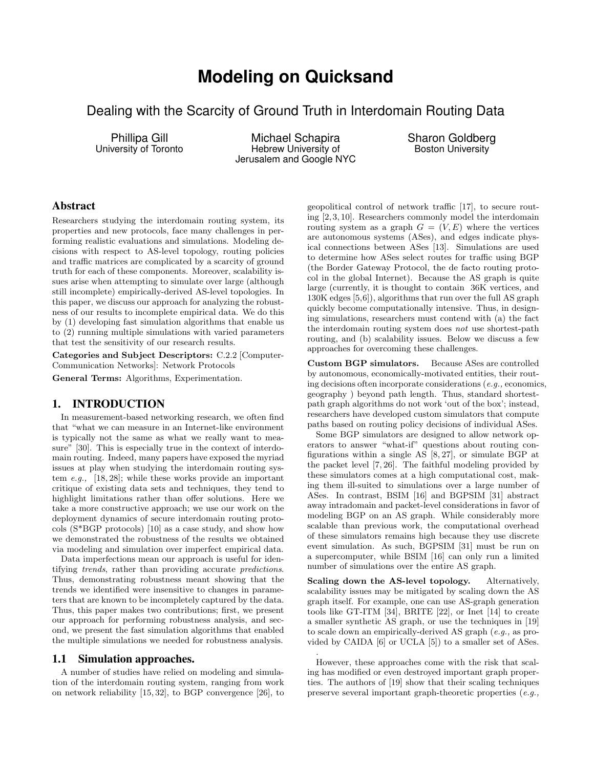# **Modeling on Quicksand**

Dealing with the Scarcity of Ground Truth in Interdomain Routing Data

Phillipa Gill University of Toronto

Michael Schapira Hebrew University of Jerusalem and Google NYC Sharon Goldberg Boston University

# Abstract

Researchers studying the interdomain routing system, its properties and new protocols, face many challenges in performing realistic evaluations and simulations. Modeling decisions with respect to AS-level topology, routing policies and traffic matrices are complicated by a scarcity of ground truth for each of these components. Moreover, scalability issues arise when attempting to simulate over large (although still incomplete) empirically-derived AS-level topologies. In this paper, we discuss our approach for analyzing the robustness of our results to incomplete empirical data. We do this by (1) developing fast simulation algorithms that enable us to (2) running multiple simulations with varied parameters that test the sensitivity of our research results.

Categories and Subject Descriptors: C.2.2 [Computer-Communication Networks]: Network Protocols

General Terms: Algorithms, Experimentation.

## 1. INTRODUCTION

In measurement-based networking research, we often find that "what we can measure in an Internet-like environment is typically not the same as what we really want to measure" [30]. This is especially true in the context of interdomain routing. Indeed, many papers have exposed the myriad issues at play when studying the interdomain routing system e.g., [18, 28]; while these works provide an important critique of existing data sets and techniques, they tend to highlight limitations rather than offer solutions. Here we take a more constructive approach; we use our work on the deployment dynamics of secure interdomain routing protocols (S\*BGP protocols) [10] as a case study, and show how we demonstrated the robustness of the results we obtained via modeling and simulation over imperfect empirical data.

Data imperfections mean our approach is useful for identifying trends, rather than providing accurate predictions. Thus, demonstrating robustness meant showing that the trends we identified were insensitive to changes in parameters that are known to be incompletely captured by the data. Thus, this paper makes two contributions; first, we present our approach for performing robustness analysis, and second, we present the fast simulation algorithms that enabled the multiple simulations we needed for robustness analysis.

## 1.1 Simulation approaches.

A number of studies have relied on modeling and simulation of the interdomain routing system, ranging from work on network reliability [15, 32], to BGP convergence [26], to geopolitical control of network traffic [17], to secure routing [2, 3, 10]. Researchers commonly model the interdomain routing system as a graph  $G = (V, E)$  where the vertices are autonomous systems (ASes), and edges indicate physical connections between ASes [13]. Simulations are used to determine how ASes select routes for traffic using BGP (the Border Gateway Protocol, the de facto routing protocol in the global Internet). Because the AS graph is quite large (currently, it is thought to contain 36K vertices, and 130K edges [5,6]), algorithms that run over the full AS graph quickly become computationally intensive. Thus, in designing simulations, researchers must contend with (a) the fact the interdomain routing system does not use shortest-path routing, and (b) scalability issues. Below we discuss a few approaches for overcoming these challenges.

Custom BGP simulators. Because ASes are controlled by autonomous, economically-motivated entities, their routing decisions often incorporate considerations (e.g., economics, geography ) beyond path length. Thus, standard shortestpath graph algorithms do not work 'out of the box'; instead, researchers have developed custom simulators that compute paths based on routing policy decisions of individual ASes.

Some BGP simulators are designed to allow network operators to answer "what-if" questions about routing configurations within a single AS [8, 27], or simulate BGP at the packet level [7, 26]. The faithful modeling provided by these simulators comes at a high computational cost, making them ill-suited to simulations over a large number of ASes. In contrast, BSIM [16] and BGPSIM [31] abstract away intradomain and packet-level considerations in favor of modeling BGP on an AS graph. While considerably more scalable than previous work, the computational overhead of these simulators remains high because they use discrete event simulation. As such, BGPSIM [31] must be run on a supercomputer, while BSIM [16] can only run a limited number of simulations over the entire AS graph.

Scaling down the AS-level topology. Alternatively, scalability issues may be mitigated by scaling down the AS graph itself. For example, one can use AS-graph generation tools like GT-ITM [34], BRITE [22], or Inet [14] to create a smaller synthetic AS graph, or use the techniques in [19] to scale down an empirically-derived AS graph (e.g., as provided by CAIDA [6] or UCLA [5]) to a smaller set of ASes.

However, these approaches come with the risk that scaling has modified or even destroyed important graph properties. The authors of [19] show that their scaling techniques preserve several important graph-theoretic properties (e.g.,

.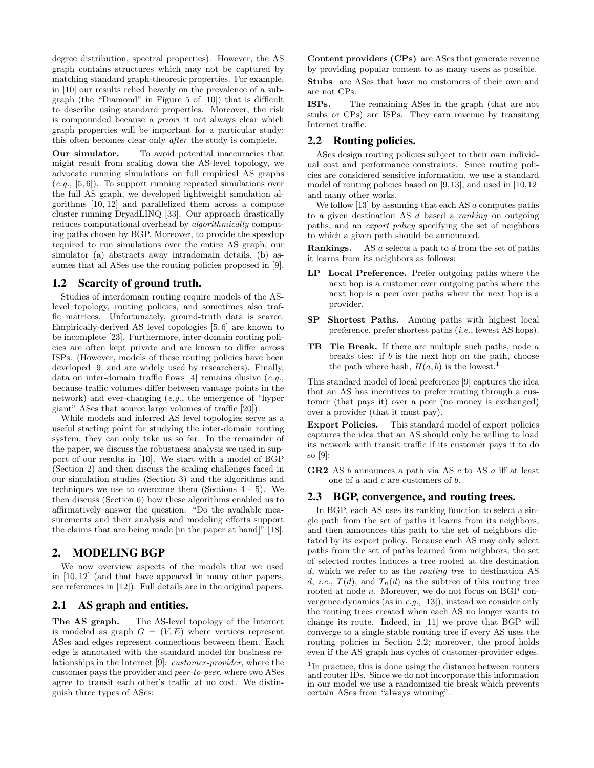degree distribution, spectral properties). However, the AS graph contains structures which may not be captured by matching standard graph-theoretic properties. For example, in [10] our results relied heavily on the prevalence of a subgraph (the "Diamond" in Figure 5 of [10]) that is difficult to describe using standard properties. Moreover, the risk is compounded because a priori it not always clear which graph properties will be important for a particular study; this often becomes clear only after the study is complete.

Our simulator. To avoid potential inaccuracies that might result from scaling down the AS-level topology, we advocate running simulations on full empirical AS graphs  $(e.g., [5, 6])$ . To support running repeated simulations over the full AS graph, we developed lightweight simulation algorithms [10, 12] and parallelized them across a compute cluster running DryadLINQ [33]. Our approach drastically reduces computational overhead by *algorithmically* computing paths chosen by BGP. Moreover, to provide the speedup required to run simulations over the entire AS graph, our simulator (a) abstracts away intradomain details, (b) assumes that all ASes use the routing policies proposed in [9].

#### 1.2 Scarcity of ground truth.

Studies of interdomain routing require models of the ASlevel topology, routing policies, and sometimes also traffic matrices. Unfortunately, ground-truth data is scarce. Empirically-derived AS level topologies [5, 6] are known to be incomplete [23]. Furthermore, inter-domain routing policies are often kept private and are known to differ across ISPs. (However, models of these routing policies have been developed [9] and are widely used by researchers). Finally, data on inter-domain traffic flows  $[4]$  remains elusive  $(e.g.,)$ because traffic volumes differ between vantage points in the network) and ever-changing (e.g., the emergence of "hyper giant" ASes that source large volumes of traffic [20]).

While models and inferred AS level topologies serve as a useful starting point for studying the inter-domain routing system, they can only take us so far. In the remainder of the paper, we discuss the robustness analysis we used in support of our results in [10]. We start with a model of BGP (Section 2) and then discuss the scaling challenges faced in our simulation studies (Section 3) and the algorithms and techniques we use to overcome them (Sections 4 - 5). We then discuss (Section 6) how these algorithms enabled us to affirmatively answer the question: "Do the available measurements and their analysis and modeling efforts support the claims that are being made [in the paper at hand]" [18].

## 2. MODELING BGP

We now overview aspects of the models that we used in [10, 12] (and that have appeared in many other papers, see references in [12]). Full details are in the original papers.

# 2.1 AS graph and entities.

The AS graph. The AS-level topology of the Internet is modeled as graph  $G = (V, E)$  where vertices represent ASes and edges represent connections between them. Each edge is annotated with the standard model for business relationships in the Internet [9]: customer-provider, where the customer pays the provider and peer-to-peer, where two ASes agree to transit each other's traffic at no cost. We distinguish three types of ASes:

Content providers (CPs) are ASes that generate revenue by providing popular content to as many users as possible.

Stubs are ASes that have no customers of their own and are not CPs.

ISPs. The remaining ASes in the graph (that are not stubs or CPs) are ISPs. They earn revenue by transiting Internet traffic.

# 2.2 Routing policies.

ASes design routing policies subject to their own individual cost and performance constraints. Since routing policies are considered sensitive information, we use a standard model of routing policies based on [9,13], and used in [10,12] and many other works.

We follow  $[13]$  by assuming that each AS a computes paths to a given destination AS d based a ranking on outgoing paths, and an export policy specifying the set of neighbors to which a given path should be announced.

**Rankings.** AS a selects a path to d from the set of paths it learns from its neighbors as follows:

- LP Local Preference. Prefer outgoing paths where the next hop is a customer over outgoing paths where the next hop is a peer over paths where the next hop is a provider.
- SP Shortest Paths. Among paths with highest local preference, prefer shortest paths (i.e., fewest AS hops).
- TB Tie Break. If there are multiple such paths, node a breaks ties: if  $b$  is the next hop on the path, choose the path where hash,  $H(a, b)$  is the lowest.<sup>1</sup>

This standard model of local preference [9] captures the idea that an AS has incentives to prefer routing through a customer (that pays it) over a peer (no money is exchanged) over a provider (that it must pay).

Export Policies. This standard model of export policies captures the idea that an AS should only be willing to load its network with transit traffic if its customer pays it to do so [9]:

**GR2** AS  $b$  announces a path via AS  $c$  to AS  $a$  iff at least one of  $a$  and  $c$  are customers of  $b$ .

#### 2.3 BGP, convergence, and routing trees.

In BGP, each AS uses its ranking function to select a single path from the set of paths it learns from its neighbors, and then announces this path to the set of neighbors dictated by its export policy. Because each AS may only select paths from the set of paths learned from neighbors, the set of selected routes induces a tree rooted at the destination d, which we refer to as the routing tree to destination AS d, *i.e.*,  $T(d)$ , and  $T_n(d)$  as the subtree of this routing tree rooted at node n. Moreover, we do not focus on BGP convergence dynamics (as in e.g., [13]); instead we consider only the routing trees created when each AS no longer wants to change its route. Indeed, in [11] we prove that BGP will converge to a single stable routing tree if every AS uses the routing policies in Section 2.2; moreover, the proof holds even if the AS graph has cycles of customer-provider edges.

<sup>&</sup>lt;sup>1</sup>In practice, this is done using the distance between routers and router IDs. Since we do not incorporate this information in our model we use a randomized tie break which prevents certain ASes from "always winning".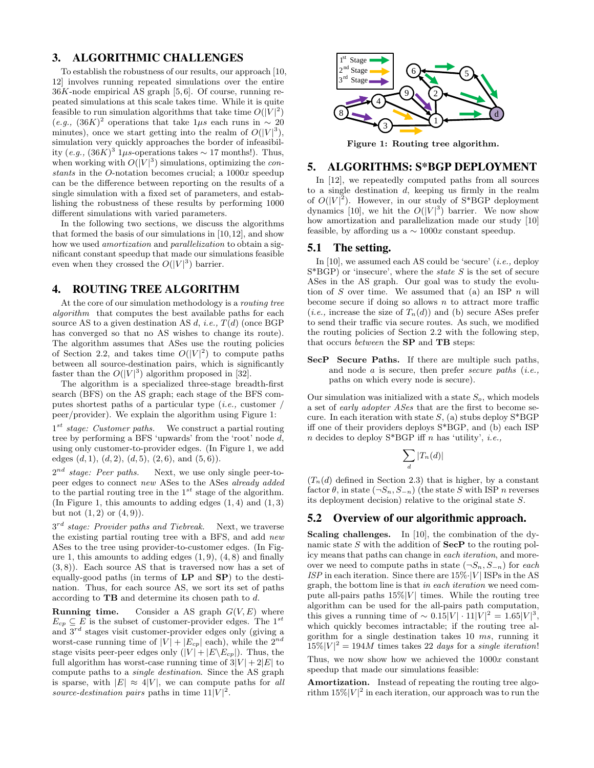# 3. ALGORITHMIC CHALLENGES

To establish the robustness of our results, our approach [10, 12] involves running repeated simulations over the entire  $36K$ -node empirical AS graph [5,6]. Of course, running repeated simulations at this scale takes time. While it is quite feasible to run simulation algorithms that take time  $O(|V|^2)$  $(e.g., (36K)^2$  operations that take 1µs each runs in ~ 20 minutes), once we start getting into the realm of  $O(|V|^3)$ , simulation very quickly approaches the border of infeasibility (e.g.,  $(36K)^3$  1µs-operations takes  $\sim$  17 months!). Thus, when working with  $O(|V|^3)$  simulations, optimizing the constants in the O-notation becomes crucial; a 1000x speedup can be the difference between reporting on the results of a single simulation with a fixed set of parameters, and establishing the robustness of these results by performing 1000 different simulations with varied parameters.

In the following two sections, we discuss the algorithms that formed the basis of our simulations in [10,12], and show how we used *amortization* and *parallelization* to obtain a significant constant speedup that made our simulations feasible even when they crossed the  $O(|V|^3)$  barrier.

## 4. ROUTING TREE ALGORITHM

At the core of our simulation methodology is a routing tree algorithm that computes the best available paths for each source AS to a given destination AS d, i.e.,  $T(d)$  (once BGP has converged so that no AS wishes to change its route). The algorithm assumes that ASes use the routing policies of Section 2.2, and takes time  $O(|V|^2)$  to compute paths between all source-destination pairs, which is significantly faster than the  $O(|V|^3)$  algorithm proposed in [32].

The algorithm is a specialized three-stage breadth-first search (BFS) on the AS graph; each stage of the BFS computes shortest paths of a particular type  $(i.e.,$  customer / peer/provider). We explain the algorithm using Figure 1:

 $1<sup>st</sup> stage: Customer paths.$  We construct a partial routing tree by performing a BFS 'upwards' from the 'root' node d, using only customer-to-provider edges. (In Figure 1, we add edges  $(d, 1), (d, 2), (d, 5), (2, 6),$  and  $(5, 6)$ ).

 $2^{nd}$  stage: Peer paths. Next, we use only single peer-topeer edges to connect new ASes to the ASes already added to the partial routing tree in the  $1^{st}$  stage of the algorithm. (In Figure 1, this amounts to adding edges  $(1, 4)$  and  $(1, 3)$ ) but not  $(1, 2)$  or  $(4, 9)$ ).

 $3^{rd}$  stage: Provider paths and Tiebreak. Next, we traverse the existing partial routing tree with a BFS, and add new ASes to the tree using provider-to-customer edges. (In Figure 1, this amounts to adding edges  $(1, 9)$ ,  $(4, 8)$  and finally (3, 8)). Each source AS that is traversed now has a set of equally-good paths (in terms of LP and SP) to the destination. Thus, for each source AS, we sort its set of paths according to  $\mathbf{T}\mathbf{B}$  and determine its chosen path to  $d$ .

**Running time.** Consider a AS graph  $G(V, E)$  where  $E_{cp} \subseteq E$  is the subset of customer-provider edges. The 1<sup>st</sup> and  $3^{rd}$  stages visit customer-provider edges only (giving a worst-case running time of  $|V| + |E_{cp}|$  each), while the  $2^{nd}$ stage visits peer-peer edges only  $(|V| + |E\setminus E_{cp}|)$ . Thus, the full algorithm has worst-case running time of  $3|V| + 2|E|$  to compute paths to a single destination. Since the AS graph is sparse, with  $|E| \approx 4|V|$ , we can compute paths for all source-destination pairs paths in time  $11|V|^2$ .



Figure 1: Routing tree algorithm.

## 5. ALGORITHMS: S\*BGP DEPLOYMENT

In [12], we repeatedly computed paths from all sources to a single destination  $d$ , keeping us firmly in the realm of  $O(|V|^2)$ . However, in our study of S\*BGP deployment dynamics [10], we hit the  $O(|V|^3)$  barrier. We now show how amortization and parallelization made our study [10] feasible, by affording us a  $\sim 1000x$  constant speedup.

#### 5.1 The setting.

In  $[10]$ , we assumed each AS could be 'secure' (*i.e.*, deploy  $S*BGP$  or 'insecure', where the *state* S is the set of secure ASes in the AS graph. Our goal was to study the evolution of S over time. We assumed that (a) an ISP  $n$  will become secure if doing so allows  $n$  to attract more traffic (*i.e.*, increase the size of  $T_n(d)$ ) and (b) secure ASes prefer to send their traffic via secure routes. As such, we modified the routing policies of Section 2.2 with the following step, that occurs between the SP and TB steps:

SecP Secure Paths. If there are multiple such paths, and node a is secure, then prefer secure paths (i.e., paths on which every node is secure).

Our simulation was initialized with a state  $S<sub>o</sub>$ , which models a set of early adopter ASes that are the first to become secure. In each iteration with state  $S$ , (a) stubs deploy  $S*BGP$ iff one of their providers deploys S\*BGP, and (b) each ISP n decides to deploy  $S*BGP$  iff n has 'utility', *i.e.*,

$$
\sum_{d} |T_n(d)|
$$

 $(T_n(d)$  defined in Section 2.3) that is higher, by a constant factor  $\theta$ , in state  $(\neg S_n, S_{-n})$  (the state S with ISP n reverses its deployment decision) relative to the original state S.

## 5.2 Overview of our algorithmic approach.

Scaling challenges. In [10], the combination of the dynamic state  $S$  with the addition of  $\mathbf{SecP}$  to the routing policy means that paths can change in each iteration, and moreover we need to compute paths in state  $(\neg S_n, S_{-n})$  for each ISP in each iteration. Since there are  $15\% \cdot |V|$  ISPs in the AS graph, the bottom line is that in each iteration we need compute all-pairs paths  $15\%|V|$  times. While the routing tree algorithm can be used for the all-pairs path computation, this gives a running time of  $\sim 0.15|V| \cdot 11|V|^2 = 1.65|V|^3$ , which quickly becomes intractable; if the routing tree algorithm for a single destination takes 10 ms, running it  $15\%|V|^2 = 194M$  times takes 22 days for a single iteration!

Thus, we now show how we achieved the  $1000x$  constant speedup that made our simulations feasible:

Amortization. Instead of repeating the routing tree algorithm  $15\%|V|^2$  in each iteration, our approach was to run the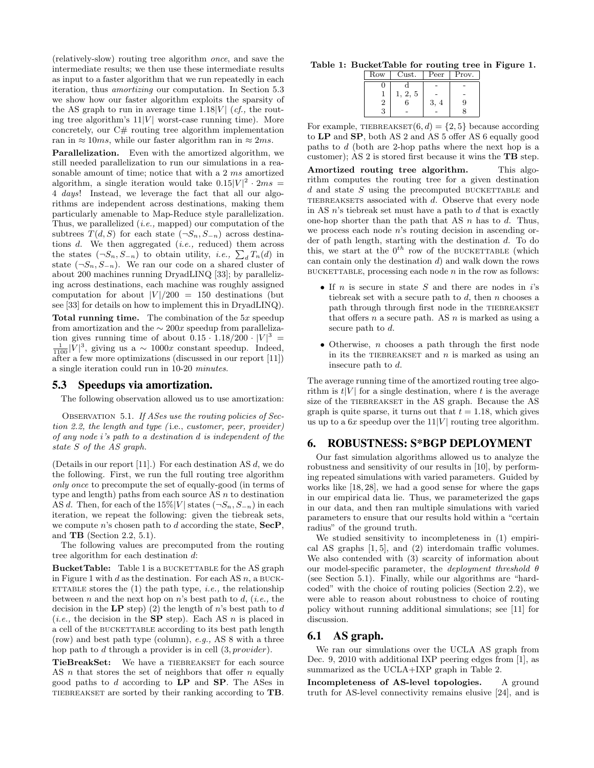(relatively-slow) routing tree algorithm once, and save the intermediate results; we then use these intermediate results as input to a faster algorithm that we run repeatedly in each iteration, thus amortizing our computation. In Section 5.3 we show how our faster algorithm exploits the sparsity of the AS graph to run in average time  $1.18|V|$  (*cf.*, the routing tree algorithm's  $11|V|$  worst-case running time). More concretely, our  $C#$  routing tree algorithm implementation ran in  $\approx 10$ ms, while our faster algorithm ran in  $\approx 2$ ms.

Parallelization. Even with the amortized algorithm, we still needed parallelization to run our simulations in a reasonable amount of time; notice that with a 2 ms amortized algorithm, a single iteration would take  $0.15|V|^2 \cdot 2ms =$ 4 days! Instead, we leverage the fact that all our algorithms are independent across destinations, making them particularly amenable to Map-Reduce style parallelization. Thus, we parallelized  $(i.e.,$  mapped) our computation of the subtrees  $T(d, S)$  for each state  $(\neg S_n, S_{-n})$  across destinations  $d$ . We then aggregated (*i.e.*, reduced) them across the states  $(\neg S_n, S_{-n})$  to obtain utility, *i.e.*,  $\sum_{d} T_n(d)$  in state  $(\neg S_n, S_{-n})$ . We ran our code on a shared cluster of about 200 machines running DryadLINQ [33]; by parallelizing across destinations, each machine was roughly assigned computation for about  $|V|/200 = 150$  destinations (but see [33] for details on how to implement this in DryadLINQ).

Total running time. The combination of the 5x speedup from amortization and the  $\sim 200x$  speedup from parallelization gives running time of about  $0.15 \cdot 1.18/200 \cdot |V|^3$  =  $\frac{1}{1100}|\bar{V}|^3$ , giving us a ~ 1000x constant speedup. Indeed, after a few more optimizations (discussed in our report [11]) a single iteration could run in 10-20 minutes.

#### 5.3 Speedups via amortization.

The following observation allowed us to use amortization:

OBSERVATION 5.1. If ASes use the routing policies of Section 2.2, the length and type ( i.e., customer, peer, provider) of any node i's path to a destination d is independent of the state S of the AS graph.

(Details in our report [11].) For each destination AS d, we do the following. First, we run the full routing tree algorithm only once to precompute the set of equally-good (in terms of type and length) paths from each source AS  $n$  to destination AS d. Then, for each of the  $15\%|V|$  states  $(\neg S_n, S_{-n})$  in each iteration, we repeat the following: given the tiebreak sets, we compute n's chosen path to d according the state,  $\text{SecP}$ , and TB (Section 2.2, 5.1).

The following values are precomputed from the routing tree algorithm for each destination d:

BucketTable: Table 1 is a BUCKETTABLE for the AS graph in Figure 1 with d as the destination. For each AS  $n$ , a BUCK-ETTABLE stores the  $(1)$  the path type, *i.e.*, the relationship between n and the next hop on n's best path to d, (*i.e.*, the decision in the LP step) (2) the length of n's best path to  $d$ (*i.e.*, the decision in the **SP** step). Each AS n is placed in a cell of the BUCKETTABLE according to its best path length (row) and best path type (column), e.g., AS 8 with a three hop path to d through a provider is in cell  $(3, provider)$ .

TieBreakSet: We have a TIEBREAKSET for each source AS  $n$  that stores the set of neighbors that offer  $n$  equally good paths to  $d$  according to  $\mathbf{LP}$  and  $\mathbf{SP}$ . The ASes in TIEBREAKSET are sorted by their ranking according to TB.

#### Table 1: BucketTable for routing tree in Figure 1.

| Row            | Cust. | Peer | Prov. |
|----------------|-------|------|-------|
| U              |       |      |       |
|                | 2, 5  |      |       |
| $\overline{2}$ | 6     | 3,   | 9     |
| 3              |       |      |       |

For example, TIEBREAKSET $(6, d) = \{2, 5\}$  because according to LP and SP, both AS 2 and AS 5 offer AS 6 equally good paths to d (both are 2-hop paths where the next hop is a customer); AS 2 is stored first because it wins the TB step. Amortized routing tree algorithm. This algorithm computes the routing tree for a given destination  $d$  and state  $S$  using the precomputed BUCKETTABLE and TIEBREAKSETS associated with  $d$ . Observe that every node in AS  $n$ 's tiebreak set must have a path to  $d$  that is exactly one-hop shorter than the path that AS  $n$  has to  $d$ . Thus, we process each node n's routing decision in ascending order of path length, starting with the destination d. To do this, we start at the  $0^{th}$  row of the BUCKETTABLE (which can contain only the destination d) and walk down the rows

• If  $n$  is secure in state  $S$  and there are nodes in  $i$ 's tiebreak set with a secure path to  $d$ , then  $n$  chooses a path through through first node in the TIEBREAKSET that offers  $n$  a secure path. AS  $n$  is marked as using a secure path to d.

BUCKETTABLE, processing each node  $n$  in the row as follows:

• Otherwise, n chooses a path through the first node in its the TIEBREAKSET and  $n$  is marked as using an insecure path to d.

The average running time of the amortized routing tree algorithm is  $t|V|$  for a single destination, where t is the average size of the TIEBREAKSET in the AS graph. Because the AS graph is quite sparse, it turns out that  $t = 1.18$ , which gives us up to a  $6x$  speedup over the  $11|V|$  routing tree algorithm.

# 6. ROBUSTNESS: S\*BGP DEPLOYMENT

Our fast simulation algorithms allowed us to analyze the robustness and sensitivity of our results in [10], by performing repeated simulations with varied parameters. Guided by works like [18, 28], we had a good sense for where the gaps in our empirical data lie. Thus, we parameterized the gaps in our data, and then ran multiple simulations with varied parameters to ensure that our results hold within a "certain radius" of the ground truth.

We studied sensitivity to incompleteness in (1) empirical AS graphs [1, 5], and (2) interdomain traffic volumes. We also contended with (3) scarcity of information about our model-specific parameter, the *deployment threshold*  $\theta$ (see Section 5.1). Finally, while our algorithms are "hardcoded" with the choice of routing policies (Section 2.2), we were able to reason about robustness to choice of routing policy without running additional simulations; see [11] for discussion.

#### 6.1 AS graph.

We ran our simulations over the UCLA AS graph from Dec. 9, 2010 with additional IXP peering edges from [1], as summarized as the UCLA+IXP graph in Table 2.

Incompleteness of AS-level topologies. A ground truth for AS-level connectivity remains elusive [24], and is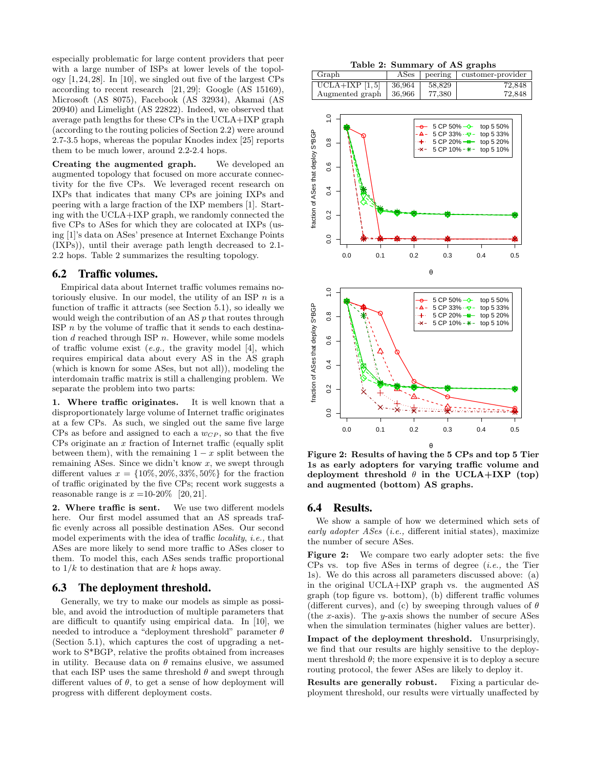especially problematic for large content providers that peer with a large number of ISPs at lower levels of the topology [1, 24, 28]. In [10], we singled out five of the largest CPs according to recent research [21, 29]: Google (AS 15169), Microsoft (AS 8075), Facebook (AS 32934), Akamai (AS 20940) and Limelight (AS 22822). Indeed, we observed that average path lengths for these CPs in the UCLA+IXP graph (according to the routing policies of Section 2.2) were around 2.7-3.5 hops, whereas the popular Knodes index [25] reports them to be much lower, around 2.2-2.4 hops.

Creating the augmented graph. We developed an augmented topology that focused on more accurate connectivity for the five CPs. We leveraged recent research on IXPs that indicates that many CPs are joining IXPs and peering with a large fraction of the IXP members [1]. Starting with the UCLA+IXP graph, we randomly connected the five CPs to ASes for which they are colocated at IXPs (using [1]'s data on ASes' presence at Internet Exchange Points (IXPs)), until their average path length decreased to 2.1- 2.2 hops. Table 2 summarizes the resulting topology.

## 6.2 Traffic volumes.

Empirical data about Internet traffic volumes remains notoriously elusive. In our model, the utility of an ISP  $n$  is a function of traffic it attracts (see Section 5.1), so ideally we would weigh the contribution of an AS p that routes through ISP  $n$  by the volume of traffic that it sends to each destination  $d$  reached through ISP  $n$ . However, while some models of traffic volume exist  $(e.g., the gravity model [4], which$ requires empirical data about every AS in the AS graph (which is known for some ASes, but not all)), modeling the interdomain traffic matrix is still a challenging problem. We separate the problem into two parts:

1. Where traffic originates. It is well known that a disproportionately large volume of Internet traffic originates at a few CPs. As such, we singled out the same five large  $CPs$  as before and assigned to each a  $w_{CP}$ , so that the five CPs originate an  $x$  fraction of Internet traffic (equally split) between them), with the remaining  $1 - x$  split between the remaining ASes. Since we didn't know  $x$ , we swept through different values  $x = \{10\%, 20\%, 33\%, 50\%\}\$  for the fraction of traffic originated by the five CPs; recent work suggests a reasonable range is  $x = 10-20\%$  [20, 21].

2. Where traffic is sent. We use two different models here. Our first model assumed that an AS spreads traffic evenly across all possible destination ASes. Our second model experiments with the idea of traffic locality, i.e., that ASes are more likely to send more traffic to ASes closer to them. To model this, each ASes sends traffic proportional to  $1/k$  to destination that are k hops away.

#### 6.3 The deployment threshold.

Generally, we try to make our models as simple as possible, and avoid the introduction of multiple parameters that are difficult to quantify using empirical data. In [10], we needed to introduce a "deployment threshold" parameter  $\theta$ (Section 5.1), which captures the cost of upgrading a network to S\*BGP, relative the profits obtained from increases in utility. Because data on  $\theta$  remains elusive, we assumed that each ISP uses the same threshold  $\theta$  and swept through different values of  $\theta$ , to get a sense of how deployment will progress with different deployment costs.

Table 2: Summary of AS graphs

| Graph           |           |        | ASes peering customer-provider |
|-----------------|-----------|--------|--------------------------------|
| UCLA+IXP [1,5]  | $+36.964$ | 58,829 | 72.848                         |
| Augmented graph | $+36,966$ | 77.380 | 72.848                         |



Figure 2: Results of having the 5 CPs and top 5 Tier 1s as early adopters for varying traffic volume and deployment threshold  $\theta$  in the UCLA+IXP (top) and augmented (bottom) AS graphs.

#### 6.4 Results.

We show a sample of how we determined which sets of early adopter ASes (i.e., different initial states), maximize the number of secure ASes.

Figure 2: We compare two early adopter sets: the five CPs vs. top five ASes in terms of degree  $(i.e.,$  the Tier 1s). We do this across all parameters discussed above: (a) in the original UCLA+IXP graph vs. the augmented AS graph (top figure vs. bottom), (b) different traffic volumes (different curves), and (c) by sweeping through values of  $\theta$ (the x-axis). The y-axis shows the number of secure ASes when the simulation terminates (higher values are better).

Impact of the deployment threshold. Unsurprisingly, we find that our results are highly sensitive to the deployment threshold  $\theta$ ; the more expensive it is to deploy a secure routing protocol, the fewer ASes are likely to deploy it.

Results are generally robust. Fixing a particular deployment threshold, our results were virtually unaffected by